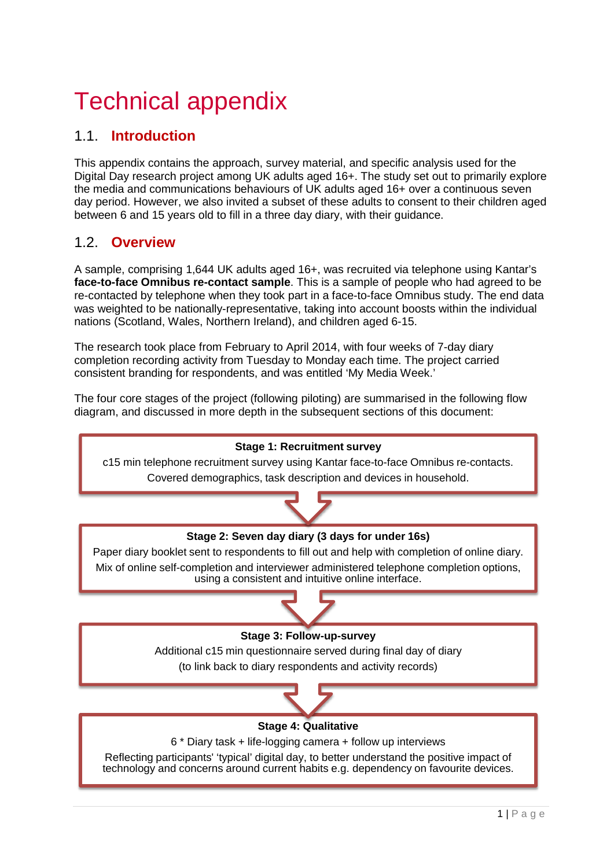# **Technical appendix**

# 1.1. **Introduction**

This appendix contains the approach, survey material, and specific analysis used for the Digital Day research project among UK adults aged 16+. The study set out to primarily explore the media and communications behaviours of UK adults aged 16+ over a continuous seven day period. However, we also invited a subset of these adults to consent to their children aged between 6 and 15 years old to fill in a three day diary, with their guidance.

## 1.2. **Overview**

A sample, comprising 1,644 UK adults aged 16+, was recruited via telephone using Kantar's **face-to-face Omnibus re-contact sample**. This is a sample of people who had agreed to be re-contacted by telephone when they took part in a face-to-face Omnibus study. The end data was weighted to be nationally-representative, taking into account boosts within the individual nations (Scotland, Wales, Northern Ireland), and children aged 6-15.

The research took place from February to April 2014, with four weeks of 7-day diary completion recording activity from Tuesday to Monday each time. The project carried consistent branding for respondents, and was entitled 'My Media Week.'

The four core stages of the project (following piloting) are summarised in the following flow diagram, and discussed in more depth in the subsequent sections of this document:

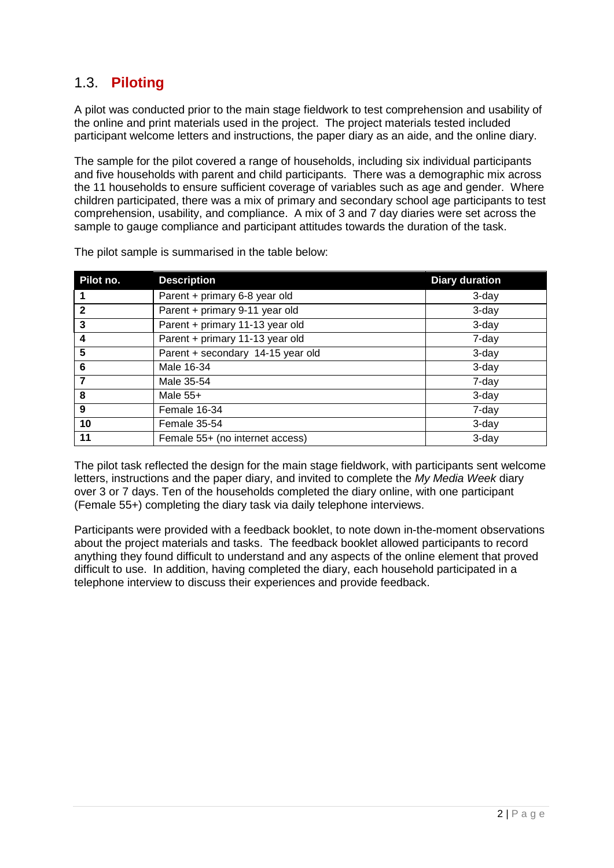# 1.3. **Piloting**

A pilot was conducted prior to the main stage fieldwork to test comprehension and usability of the online and print materials used in the project. The project materials tested included participant welcome letters and instructions, the paper diary as an aide, and the online diary.

The sample for the pilot covered a range of households, including six individual participants and five households with parent and child participants. There was a demographic mix across the 11 households to ensure sufficient coverage of variables such as age and gender. Where children participated, there was a mix of primary and secondary school age participants to test comprehension, usability, and compliance. A mix of 3 and 7 day diaries were set across the sample to gauge compliance and participant attitudes towards the duration of the task.

| Pilot no.    | <b>Description</b>                | <b>Diary duration</b> |
|--------------|-----------------------------------|-----------------------|
|              | Parent + primary 6-8 year old     | 3-day                 |
| $\mathbf{2}$ | Parent + primary 9-11 year old    | 3-day                 |
| 3            | Parent + primary 11-13 year old   | 3-day                 |
| 4            | Parent + primary 11-13 year old   | 7-day                 |
| 5            | Parent + secondary 14-15 year old | 3-day                 |
| 6            | Male 16-34                        | 3-day                 |
| 7            | Male 35-54                        | 7-day                 |
| 8            | Male $55+$                        | 3-day                 |
| 9            | Female 16-34                      | 7-day                 |
| 10           | <b>Female 35-54</b>               | 3-day                 |
| 11           | Female 55+ (no internet access)   | 3-day                 |

The pilot sample is summarised in the table below:

The pilot task reflected the design for the main stage fieldwork, with participants sent welcome letters, instructions and the paper diary, and invited to complete the *My Media Week* diary over 3 or 7 days. Ten of the households completed the diary online, with one participant (Female 55+) completing the diary task via daily telephone interviews.

Participants were provided with a feedback booklet, to note down in-the-moment observations about the project materials and tasks. The feedback booklet allowed participants to record anything they found difficult to understand and any aspects of the online element that proved difficult to use. In addition, having completed the diary, each household participated in a telephone interview to discuss their experiences and provide feedback.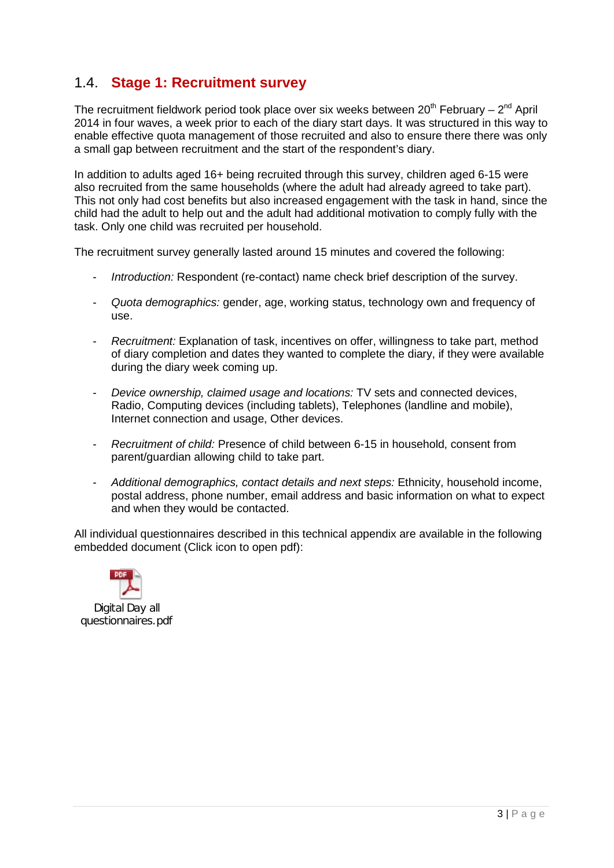# 1.4. **Stage 1: Recruitment survey**

The recruitment fieldwork period took place over six weeks between  $20^{th}$  February –  $2^{nd}$  April 2014 in four waves, a week prior to each of the diary start days. It was structured in this way to enable effective quota management of those recruited and also to ensure there there was only a small gap between recruitment and the start of the respondent's diary.

In addition to adults aged 16+ being recruited through this survey, children aged 6-15 were also recruited from the same households (where the adult had already agreed to take part). This not only had cost benefits but also increased engagement with the task in hand, since the child had the adult to help out and the adult had additional motivation to comply fully with the task. Only one child was recruited per household.

The recruitment survey generally lasted around 15 minutes and covered the following:

- *Introduction:* Respondent (re-contact) name check brief description of the survey.
- *Quota demographics:* gender, age, working status, technology own and frequency of use.
- *Recruitment:* Explanation of task, incentives on offer, willingness to take part, method of diary completion and dates they wanted to complete the diary, if they were available during the diary week coming up.
- *Device ownership, claimed usage and locations:* TV sets and connected devices, Radio, Computing devices (including tablets), Telephones (landline and mobile), Internet connection and usage, Other devices.
- *Recruitment of child:* Presence of child between 6-15 in household, consent from parent/guardian allowing child to take part.
- *Additional demographics, contact details and next steps:* Ethnicity, household income, postal address, phone number, email address and basic information on what to expect and when they would be contacted.

All individual questionnaires described in this technical appendix are available in the following embedded document (Click icon to open pdf):



Digital Day all questionnaires.pdf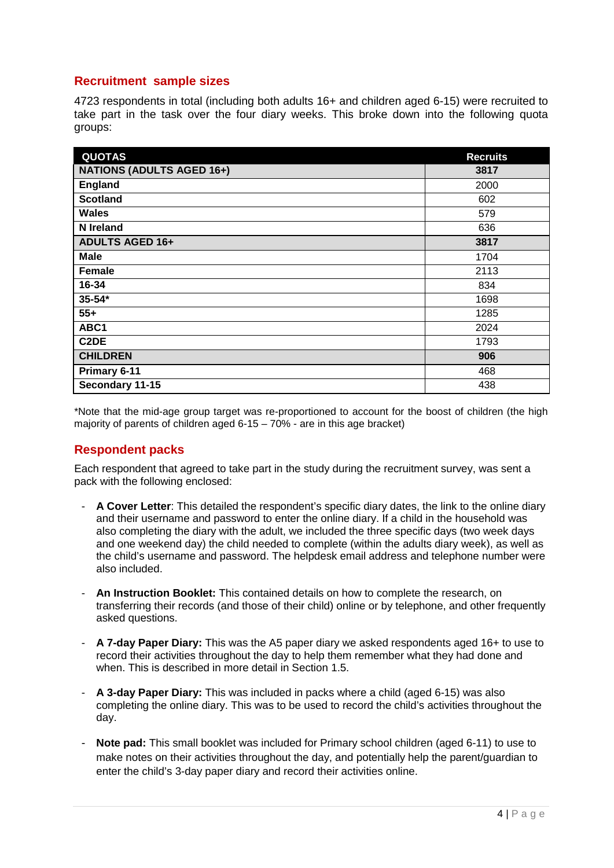## **Recruitment sample sizes**

4723 respondents in total (including both adults 16+ and children aged 6-15) were recruited to take part in the task over the four diary weeks. This broke down into the following quota groups:

| <b>QUOTAS</b>                    | <b>Recruits</b> |
|----------------------------------|-----------------|
| <b>NATIONS (ADULTS AGED 16+)</b> | 3817            |
| England                          | 2000            |
| <b>Scotland</b>                  | 602             |
| <b>Wales</b>                     | 579             |
| <b>N</b> Ireland                 | 636             |
| <b>ADULTS AGED 16+</b>           | 3817            |
| <b>Male</b>                      | 1704            |
| Female                           | 2113            |
| 16-34                            | 834             |
| $35 - 54*$                       | 1698            |
| $55+$                            | 1285            |
| ABC1                             | 2024            |
| C <sub>2</sub> DE                | 1793            |
| <b>CHILDREN</b>                  | 906             |
| Primary 6-11                     | 468             |
| Secondary 11-15                  | 438             |

\*Note that the mid-age group target was re-proportioned to account for the boost of children (the high majority of parents of children aged  $6-15-70\%$  - are in this age bracket)

#### **Respondent packs**

Each respondent that agreed to take part in the study during the recruitment survey, was sent a pack with the following enclosed:

- **A Cover Letter**: This detailed the respondent's specific diary dates, the link to the online diary and their username and password to enter the online diary. If a child in the household was also completing the diary with the adult, we included the three specific days (two week days and one weekend day) the child needed to complete (within the adults diary week), as well as the child's username and password. The helpdesk email address and telephone number were also included.
- **An Instruction Booklet:** This contained details on how to complete the research, on transferring their records (and those of their child) online or by telephone, and other frequently asked questions.
- **A 7-day Paper Diary:** This was the A5 paper diary we asked respondents aged 16+ to use to record their activities throughout the day to help them remember what they had done and when. This is described in more detail in Section 1.5.
- **A 3-day Paper Diary:** This was included in packs where a child (aged 6-15) was also completing the online diary. This was to be used to record the child's activities throughout the day.
- **Note pad:** This small booklet was included for Primary school children (aged 6-11) to use to make notes on their activities throughout the day, and potentially help the parent/guardian to enter the child's 3-day paper diary and record their activities online.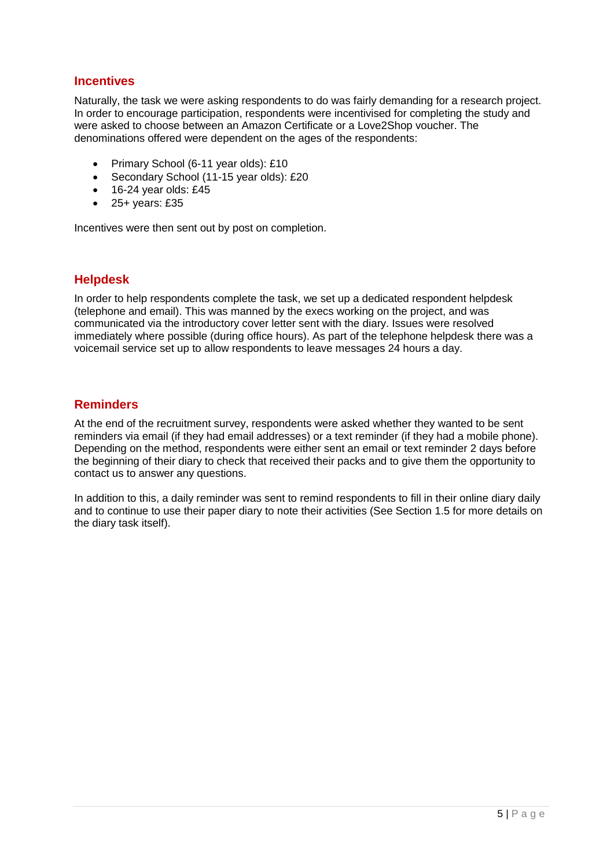#### **Incentives**

Naturally, the task we were asking respondents to do was fairly demanding for a research project. In order to encourage participation, respondents were incentivised for completing the study and were asked to choose between an Amazon Certificate or a Love2Shop voucher. The denominations offered were dependent on the ages of the respondents:

- Primary School (6-11 year olds): £10
- Secondary School (11-15 year olds): £20
- $\bullet$  16-24 year olds: £45
- $\bullet$  25+ years: £35

Incentives were then sent out by post on completion.

#### **Helpdesk**

In order to help respondents complete the task, we set up a dedicated respondent helpdesk (telephone and email). This was manned by the execs working on the project, and was communicated via the introductory cover letter sent with the diary. Issues were resolved immediately where possible (during office hours). As part of the telephone helpdesk there was a voicemail service set up to allow respondents to leave messages 24 hours a day.

## **Reminders**

At the end of the recruitment survey, respondents were asked whether they wanted to be sent reminders via email (if they had email addresses) or a text reminder (if they had a mobile phone). Depending on the method, respondents were either sent an email or text reminder 2 days before the beginning of their diary to check that received their packs and to give them the opportunity to contact us to answer any questions.

In addition to this, a daily reminder was sent to remind respondents to fill in their online diary daily and to continue to use their paper diary to note their activities (See Section 1.5 for more details on the diary task itself).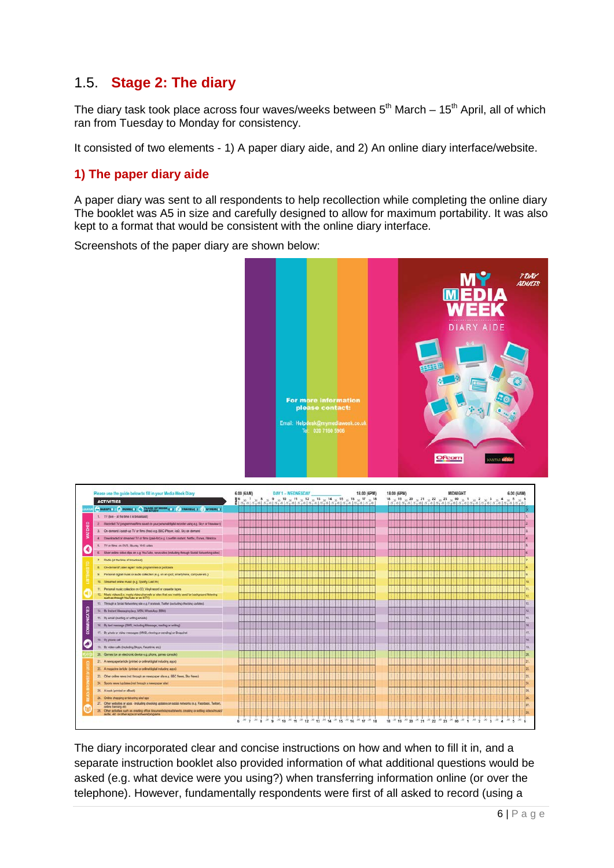## 1.5. **Stage 2: The diary**

The diary task took place across four waves/weeks between  $5<sup>th</sup>$  March – 15<sup>th</sup> April, all of which ran from Tuesday to Monday for consistency.

It consisted of two elements - 1) A paper diary aide, and 2) An online diary interface/website.

## **1) The paper diary aide**

A paper diary was sent to all respondents to help recollection while completing the online diary The booklet was A5 in size and carefully designed to allow for maximum portability. It was also kept to a format that would be consistent with the online diary interface.

Screenshots of the paper diary are shown below:





The diary incorporated clear and concise instructions on how and when to fill it in, and a separate instruction booklet also provided information of what additional questions would be asked (e.g. what device were you using?) when transferring information online (or over the telephone). However, fundamentally respondents were first of all asked to record (using a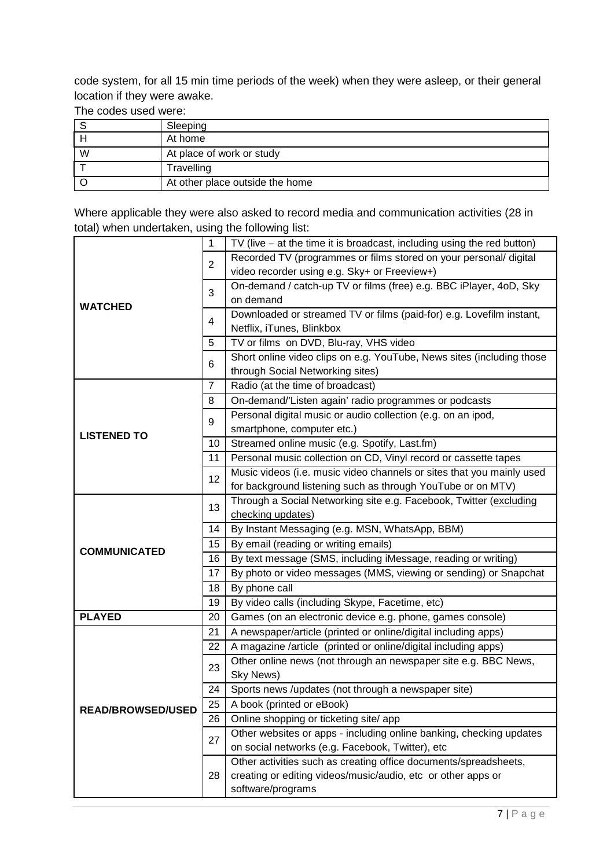code system, for all 15 min time periods of the week) when they were asleep, or their general location if they were awake.

The codes used were:

|   | Sleeping                        |
|---|---------------------------------|
|   | At home                         |
| W | At place of work or study       |
|   | Travelling                      |
|   | At other place outside the home |

Where applicable they were also asked to record media and communication activities (28 in total) when undertaken, using the following list:

|                          |    | TV (live $-$ at the time it is broadcast, including using the red button) |  |  |
|--------------------------|----|---------------------------------------------------------------------------|--|--|
|                          | 2  | Recorded TV (programmes or films stored on your personal/ digital         |  |  |
|                          |    | video recorder using e.g. Sky+ or Freeview+)                              |  |  |
|                          | 3  | On-demand / catch-up TV or films (free) e.g. BBC iPlayer, 4oD, Sky        |  |  |
|                          |    | on demand                                                                 |  |  |
| <b>WATCHED</b>           |    | Downloaded or streamed TV or films (paid-for) e.g. Lovefilm instant,      |  |  |
|                          | 4  | Netflix, iTunes, Blinkbox                                                 |  |  |
|                          | 5  | TV or films on DVD, Blu-ray, VHS video                                    |  |  |
|                          | 6  | Short online video clips on e.g. YouTube, News sites (including those     |  |  |
|                          |    | through Social Networking sites)                                          |  |  |
|                          | 7  | Radio (at the time of broadcast)                                          |  |  |
|                          | 8  | On-demand/'Listen again' radio programmes or podcasts                     |  |  |
|                          | 9  | Personal digital music or audio collection (e.g. on an ipod,              |  |  |
| <b>LISTENED TO</b>       |    | smartphone, computer etc.)                                                |  |  |
|                          | 10 | Streamed online music (e.g. Spotify, Last.fm)                             |  |  |
|                          | 11 | Personal music collection on CD, Vinyl record or cassette tapes           |  |  |
|                          | 12 | Music videos (i.e. music video channels or sites that you mainly used     |  |  |
|                          |    | for background listening such as through YouTube or on MTV)               |  |  |
|                          | 13 | Through a Social Networking site e.g. Facebook, Twitter (excluding        |  |  |
|                          |    | checking updates)                                                         |  |  |
|                          | 14 | By Instant Messaging (e.g. MSN, WhatsApp, BBM)                            |  |  |
| <b>COMMUNICATED</b>      | 15 | By email (reading or writing emails)                                      |  |  |
|                          | 16 | By text message (SMS, including iMessage, reading or writing)             |  |  |
|                          | 17 | By photo or video messages (MMS, viewing or sending) or Snapchat          |  |  |
|                          | 18 | By phone call                                                             |  |  |
|                          | 19 | By video calls (including Skype, Facetime, etc)                           |  |  |
| <b>PLAYED</b>            | 20 | Games (on an electronic device e.g. phone, games console)                 |  |  |
|                          | 21 | A newspaper/article (printed or online/digital including apps)            |  |  |
|                          | 22 | A magazine /article (printed or online/digital including apps)            |  |  |
|                          |    | Other online news (not through an newspaper site e.g. BBC News,           |  |  |
|                          | 23 | Sky News)                                                                 |  |  |
|                          | 24 | Sports news /updates (not through a newspaper site)                       |  |  |
| <b>READ/BROWSED/USED</b> | 25 | A book (printed or eBook)                                                 |  |  |
|                          | 26 | Online shopping or ticketing site/ app                                    |  |  |
|                          |    | Other websites or apps - including online banking, checking updates       |  |  |
|                          | 27 | on social networks (e.g. Facebook, Twitter), etc                          |  |  |
|                          | 28 | Other activities such as creating office documents/spreadsheets,          |  |  |
|                          |    | creating or editing videos/music/audio, etc or other apps or              |  |  |
|                          |    | software/programs                                                         |  |  |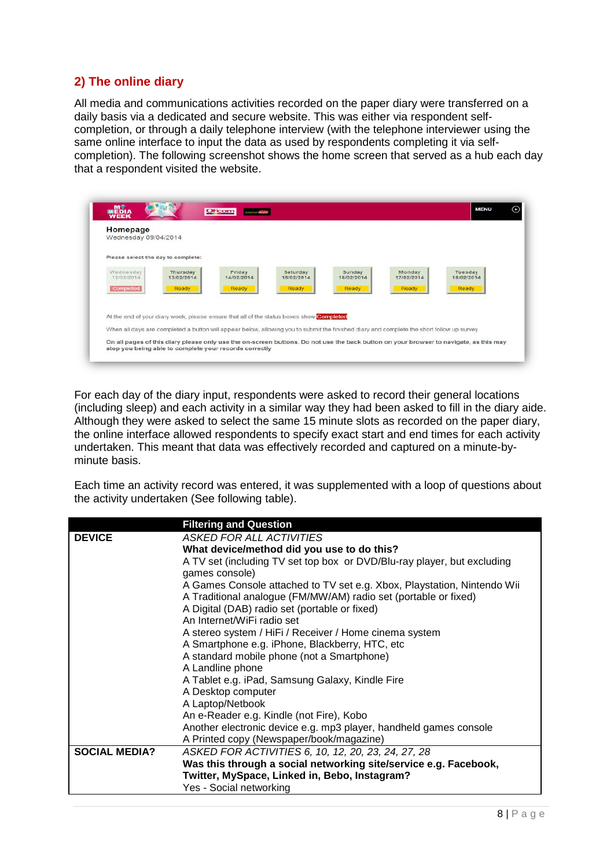## **2) The online diary**

All media and communications activities recorded on the paper diary were transferred on a daily basis via a dedicated and secure website. This was either via respondent selfcompletion, or through a daily telephone interview (with the telephone interviewer using the same online interface to input the data as used by respondents completing it via selfcompletion). The following screenshot shows the home screen that served as a hub each day that a respondent visited the website.



For each day of the diary input, respondents were asked to record their general locations (including sleep) and each activity in a similar way they had been asked to fill in the diary aide. Although they were asked to select the same 15 minute slots as recorded on the paper diary, the online interface allowed respondents to specify exact start and end times for each activity undertaken. This meant that data was effectively recorded and captured on a minute-byminute basis.

Each time an activity record was entered, it was supplemented with a loop of questions about the activity undertaken (See following table).

|                      | <b>Filtering and Question</b>                                                                                                              |
|----------------------|--------------------------------------------------------------------------------------------------------------------------------------------|
| <b>DEVICE</b>        | <b>ASKED FOR ALL ACTIVITIES</b>                                                                                                            |
|                      | What device/method did you use to do this?                                                                                                 |
|                      | A TV set (including TV set top box or DVD/Blu-ray player, but excluding<br>games console)                                                  |
|                      | A Games Console attached to TV set e.g. Xbox, Playstation, Nintendo Wii<br>A Traditional analogue (FM/MW/AM) radio set (portable or fixed) |
|                      | A Digital (DAB) radio set (portable or fixed)                                                                                              |
|                      | An Internet/WiFi radio set                                                                                                                 |
|                      | A stereo system / HiFi / Receiver / Home cinema system                                                                                     |
|                      | A Smartphone e.g. iPhone, Blackberry, HTC, etc                                                                                             |
|                      | A standard mobile phone (not a Smartphone)                                                                                                 |
|                      | A Landline phone                                                                                                                           |
|                      | A Tablet e.g. iPad, Samsung Galaxy, Kindle Fire                                                                                            |
|                      | A Desktop computer                                                                                                                         |
|                      | A Laptop/Netbook                                                                                                                           |
|                      | An e-Reader e.g. Kindle (not Fire), Kobo                                                                                                   |
|                      | Another electronic device e.g. mp3 player, handheld games console                                                                          |
|                      | A Printed copy (Newspaper/book/magazine)                                                                                                   |
| <b>SOCIAL MEDIA?</b> | ASKED FOR ACTIVITIES 6, 10, 12, 20, 23, 24, 27, 28                                                                                         |
|                      | Was this through a social networking site/service e.g. Facebook,                                                                           |
|                      | Twitter, MySpace, Linked in, Bebo, Instagram?                                                                                              |
|                      | Yes - Social networking                                                                                                                    |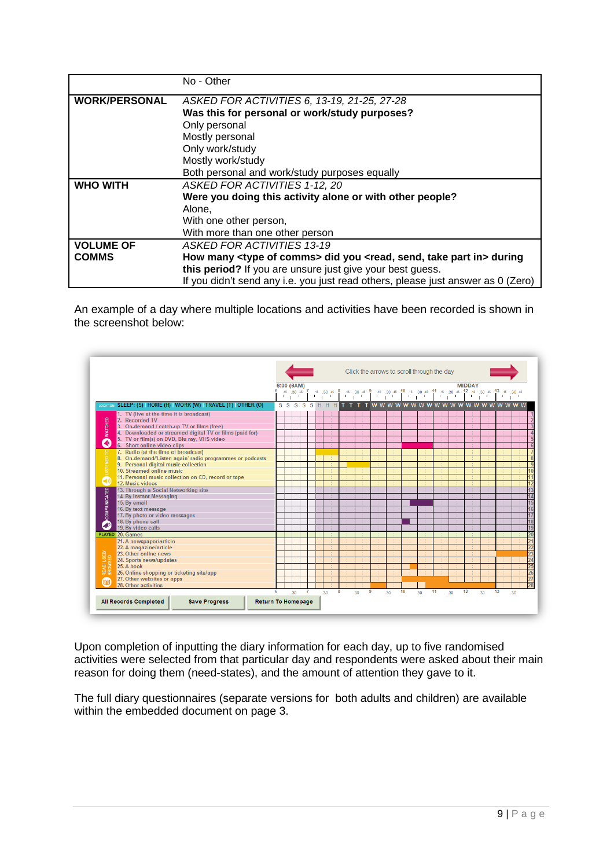|                      | No - Other                                                                                          |  |  |  |  |
|----------------------|-----------------------------------------------------------------------------------------------------|--|--|--|--|
| <b>WORK/PERSONAL</b> | ASKED FOR ACTIVITIES 6, 13-19, 21-25, 27-28                                                         |  |  |  |  |
|                      | Was this for personal or work/study purposes?                                                       |  |  |  |  |
|                      | Only personal                                                                                       |  |  |  |  |
|                      | Mostly personal                                                                                     |  |  |  |  |
|                      | Only work/study                                                                                     |  |  |  |  |
|                      | Mostly work/study                                                                                   |  |  |  |  |
|                      | Both personal and work/study purposes equally                                                       |  |  |  |  |
| <b>WHO WITH</b>      | ASKED FOR ACTIVITIES 1-12, 20                                                                       |  |  |  |  |
|                      | Were you doing this activity alone or with other people?                                            |  |  |  |  |
|                      | Alone,                                                                                              |  |  |  |  |
|                      | With one other person,                                                                              |  |  |  |  |
|                      | With more than one other person                                                                     |  |  |  |  |
| <b>VOLUME OF</b>     | <b>ASKED FOR ACTIVITIES 13-19</b>                                                                   |  |  |  |  |
| <b>COMMS</b>         | How many <type comms="" of=""> did you <read, in="" part="" send,="" take=""> during</read,></type> |  |  |  |  |
|                      | this period? If you are unsure just give your best guess.                                           |  |  |  |  |
|                      | If you didn't send any i.e. you just read others, please just answer as 0 (Zero)                    |  |  |  |  |

An example of a day where multiple locations and activities have been recorded is shown in the screenshot below:



Upon completion of inputting the diary information for each day, up to five randomised activities were selected from that particular day and respondents were asked about their main reason for doing them (need-states), and the amount of attention they gave to it.

The full diary questionnaires (separate versions for both adults and children) are available within the embedded document on page 3.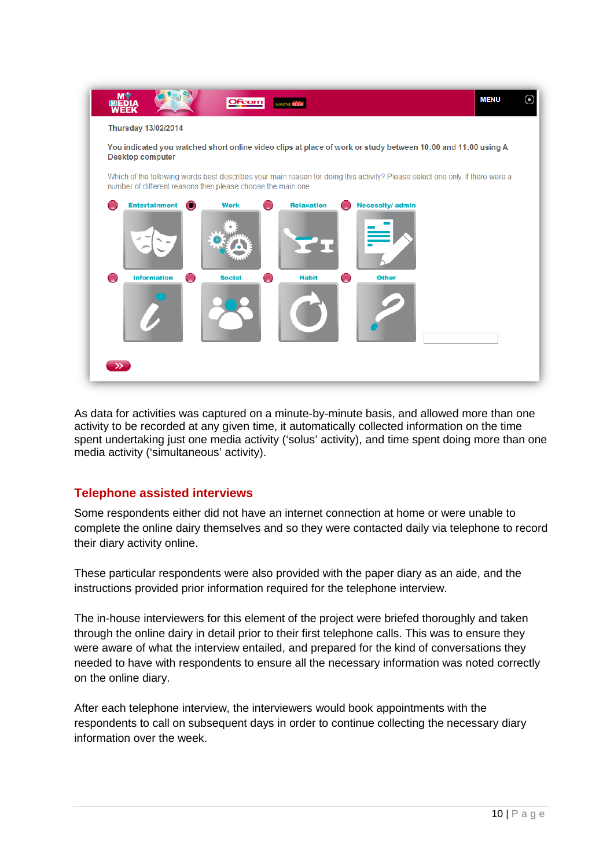

As data for activities was captured on a minute-by-minute basis, and allowed more than one activity to be recorded at any given time, it automatically collected information on the time spent undertaking just one media activity ('solus' activity), and time spent doing more than one media activity ('simultaneous' activity).

## **Telephone assisted interviews**

Some respondents either did not have an internet connection at home or were unable to complete the online dairy themselves and so they were contacted daily via telephone to record their diary activity online.

These particular respondents were also provided with the paper diary as an aide, and the instructions provided prior information required for the telephone interview.

The in-house interviewers for this element of the project were briefed thoroughly and taken through the online dairy in detail prior to their first telephone calls. This was to ensure they were aware of what the interview entailed, and prepared for the kind of conversations they needed to have with respondents to ensure all the necessary information was noted correctly on the online diary.

After each telephone interview, the interviewers would book appointments with the respondents to call on subsequent days in order to continue collecting the necessary diary information over the week.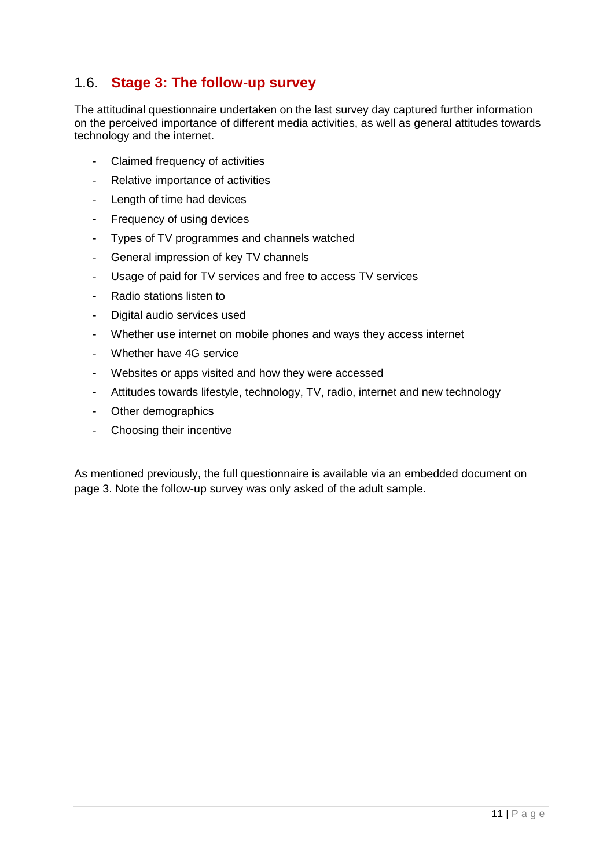# 1.6. **Stage 3: The follow-up survey**

The attitudinal questionnaire undertaken on the last survey day captured further information on the perceived importance of different media activities, as well as general attitudes towards technology and the internet.

- Claimed frequency of activities
- Relative importance of activities
- Length of time had devices
- Frequency of using devices
- Types of TV programmes and channels watched
- General impression of key TV channels
- Usage of paid for TV services and free to access TV services
- Radio stations listen to
- Digital audio services used
- Whether use internet on mobile phones and ways they access internet
- Whether have 4G service
- Websites or apps visited and how they were accessed
- Attitudes towards lifestyle, technology, TV, radio, internet and new technology
- Other demographics
- Choosing their incentive

As mentioned previously, the full questionnaire is available via an embedded document on page 3. Note the follow-up survey was only asked of the adult sample.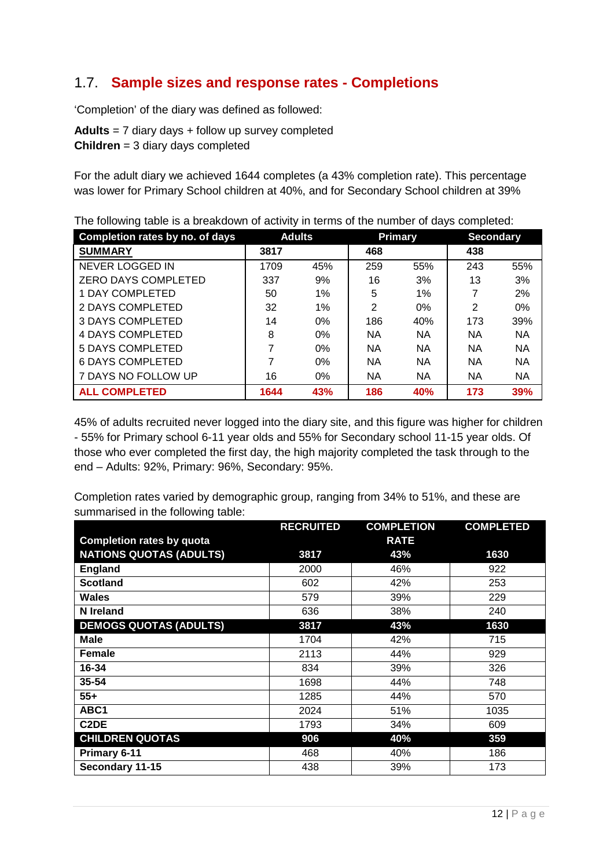# 1.7. **Sample sizes and response rates - Completions**

'Completion' of the diary was defined as followed:

**Adults** = 7 diary days + follow up survey completed **Children** = 3 diary days completed

For the adult diary we achieved 1644 completes (a 43% completion rate). This percentage was lower for Primary School children at 40%, and for Secondary School children at 39%

| Completion rates by no. of days |      | <b>Adults</b> |           | <b>Primary</b> | <b>Secondary</b> |            |
|---------------------------------|------|---------------|-----------|----------------|------------------|------------|
| <b>SUMMARY</b>                  | 3817 |               | 468       |                | 438              |            |
| <b>NEVER LOGGED IN</b>          | 1709 | 45%           | 259       | 55%            | 243              | 55%        |
| <b>ZERO DAYS COMPLETED</b>      | 337  | 9%            | 16        | 3%             | 13               | 3%         |
| 1 DAY COMPLETED                 | 50   | 1%            | 5         | 1%             | 7                | 2%         |
| 2 DAYS COMPLETED                | 32   | 1%            | 2         | 0%             | $\overline{2}$   | $0\%$      |
| <b>3 DAYS COMPLETED</b>         | 14   | 0%            | 186       | 40%            | 173              | 39%        |
| <b>4 DAYS COMPLETED</b>         | 8    | 0%            | <b>NA</b> | <b>NA</b>      | <b>NA</b>        | <b>NA</b>  |
| <b>5 DAYS COMPLETED</b>         |      | $0\%$         | <b>NA</b> | <b>NA</b>      | <b>NA</b>        | <b>NA</b>  |
| <b>6 DAYS COMPLETED</b>         |      | 0%            | <b>NA</b> | <b>NA</b>      | <b>NA</b>        | <b>NA</b>  |
| 7 DAYS NO FOLLOW UP             | 16   | 0%            | <b>NA</b> | <b>NA</b>      | <b>NA</b>        | <b>NA</b>  |
| <b>ALL COMPLETED</b>            | 1644 | 43%           | 186       | 40%            | 173              | <b>39%</b> |

The following table is a breakdown of activity in terms of the number of days completed:

45% of adults recruited never logged into the diary site, and this figure was higher for children - 55% for Primary school 6-11 year olds and 55% for Secondary school 11-15 year olds. Of those who ever completed the first day, the high majority completed the task through to the end – Adults: 92%, Primary: 96%, Secondary: 95%.

Completion rates varied by demographic group, ranging from 34% to 51%, and these are summarised in the following table:

|                                  | <b>RECRUITED</b> | <b>COMPLETION</b> | <b>COMPLETED</b> |
|----------------------------------|------------------|-------------------|------------------|
| <b>Completion rates by quota</b> |                  | <b>RATE</b>       |                  |
| <b>NATIONS QUOTAS (ADULTS)</b>   | 3817             | 43%               | 1630             |
| England                          | 2000             | 46%               | 922              |
| <b>Scotland</b>                  | 602              | 42%               | 253              |
| <b>Wales</b>                     | 579              | 39%               | 229              |
| N Ireland                        | 636              | 38%               | 240              |
| <b>DEMOGS QUOTAS (ADULTS)</b>    | 3817             | 43%               | 1630             |
| <b>Male</b>                      | 1704             | 42%               | 715              |
| Female                           | 2113             | 44%               | 929              |
| 16-34                            | 834              | 39%               | 326              |
| $35 - 54$                        | 1698             | 44%               | 748              |
| $55+$                            | 1285             | 44%               | 570              |
| ABC1                             | 2024             | 51%               | 1035             |
| C <sub>2</sub> DE                | 1793             | 34%               | 609              |
| <b>CHILDREN QUOTAS</b>           | 906              | 40%               | 359              |
| Primary 6-11                     | 468              | 40%               | 186              |
| Secondary 11-15                  | 438              | 39%               | 173              |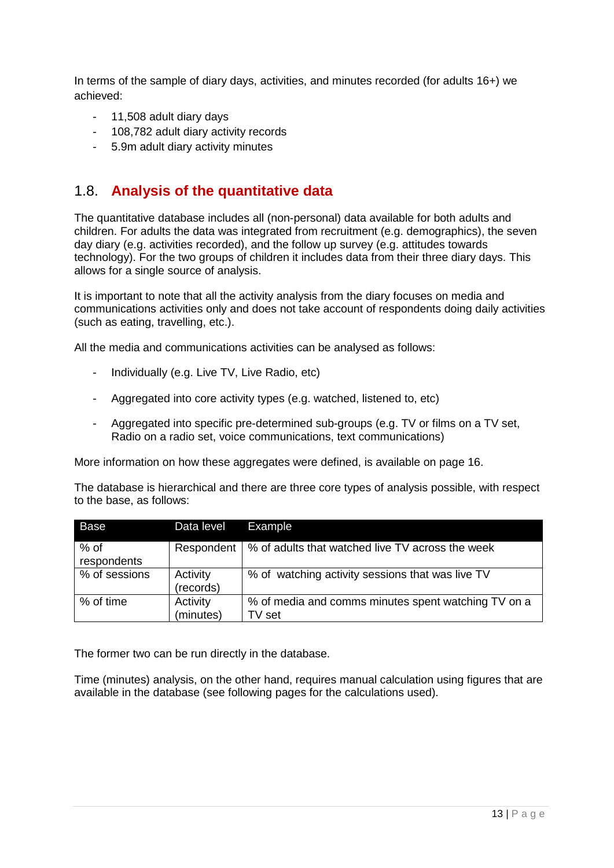In terms of the sample of diary days, activities, and minutes recorded (for adults 16+) we achieved:

- 11,508 adult diary days
- 108,782 adult diary activity records
- 5.9m adult diary activity minutes

## 1.8. **Analysis of the quantitative data**

The quantitative database includes all (non-personal) data available for both adults and children. For adults the data was integrated from recruitment (e.g. demographics), the seven day diary (e.g. activities recorded), and the follow up survey (e.g. attitudes towards technology). For the two groups of children it includes data from their three diary days. This allows for a single source of analysis.

It is important to note that all the activity analysis from the diary focuses on media and communications activities only and does not take account of respondents doing daily activities (such as eating, travelling, etc.).

All the media and communications activities can be analysed as follows:

- Individually (e.g. Live TV, Live Radio, etc)
- Aggregated into core activity types (e.g. watched, listened to, etc)
- Aggregated into specific pre-determined sub-groups (e.g. TV or films on a TV set, Radio on a radio set, voice communications, text communications)

More information on how these aggregates were defined, is available on page 16.

The database is hierarchical and there are three core types of analysis possible, with respect to the base, as follows:

| Base                  | Data level            | Example                                                       |
|-----------------------|-----------------------|---------------------------------------------------------------|
| $%$ of<br>respondents | Respondent            | │ % of adults that watched live TV across the week            |
| % of sessions         | Activity<br>(records) | % of watching activity sessions that was live TV              |
| % of time             | Activity<br>(minutes) | % of media and comms minutes spent watching TV on a<br>TV set |

The former two can be run directly in the database.

Time (minutes) analysis, on the other hand, requires manual calculation using figures that are available in the database (see following pages for the calculations used).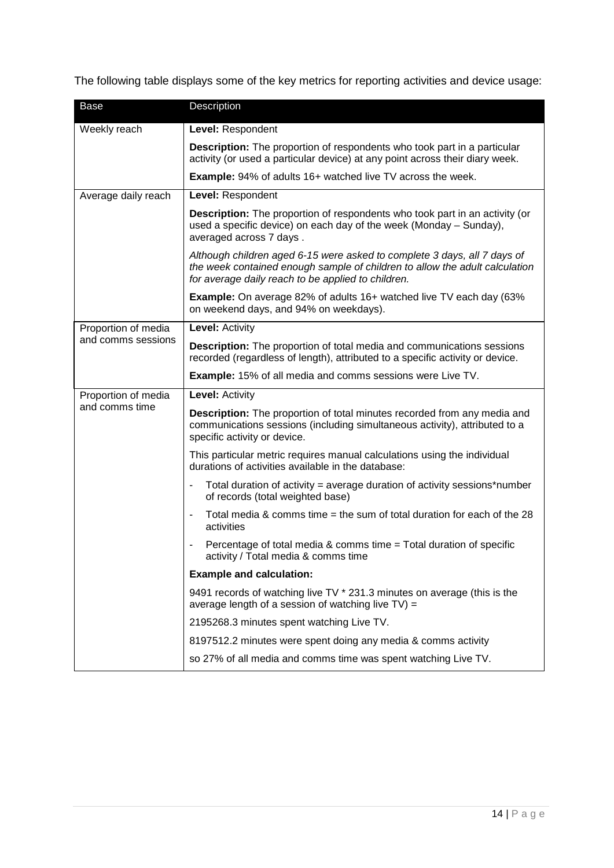The following table displays some of the key metrics for reporting activities and device usage:

| Base                | Description                                                                                                                                                                                                   |  |  |  |
|---------------------|---------------------------------------------------------------------------------------------------------------------------------------------------------------------------------------------------------------|--|--|--|
| Weekly reach        | Level: Respondent                                                                                                                                                                                             |  |  |  |
|                     | <b>Description:</b> The proportion of respondents who took part in a particular<br>activity (or used a particular device) at any point across their diary week.                                               |  |  |  |
|                     | <b>Example:</b> 94% of adults 16+ watched live TV across the week.                                                                                                                                            |  |  |  |
| Average daily reach | Level: Respondent                                                                                                                                                                                             |  |  |  |
|                     | <b>Description:</b> The proportion of respondents who took part in an activity (or<br>used a specific device) on each day of the week (Monday – Sunday),<br>averaged across 7 days.                           |  |  |  |
|                     | Although children aged 6-15 were asked to complete 3 days, all 7 days of<br>the week contained enough sample of children to allow the adult calculation<br>for average daily reach to be applied to children. |  |  |  |
|                     | <b>Example:</b> On average 82% of adults 16+ watched live TV each day (63%<br>on weekend days, and 94% on weekdays).                                                                                          |  |  |  |
| Proportion of media | <b>Level: Activity</b>                                                                                                                                                                                        |  |  |  |
| and comms sessions  | <b>Description:</b> The proportion of total media and communications sessions<br>recorded (regardless of length), attributed to a specific activity or device.                                                |  |  |  |
|                     | <b>Example:</b> 15% of all media and comms sessions were Live TV.                                                                                                                                             |  |  |  |
| Proportion of media | <b>Level: Activity</b>                                                                                                                                                                                        |  |  |  |
| and comms time      | <b>Description:</b> The proportion of total minutes recorded from any media and<br>communications sessions (including simultaneous activity), attributed to a<br>specific activity or device.                 |  |  |  |
|                     | This particular metric requires manual calculations using the individual<br>durations of activities available in the database:                                                                                |  |  |  |
|                     | Total duration of activity = average duration of activity sessions*number<br>of records (total weighted base)                                                                                                 |  |  |  |
|                     | Total media & comms time = the sum of total duration for each of the $28$<br>activities                                                                                                                       |  |  |  |
|                     | Percentage of total media & comms time $=$ Total duration of specific<br>activity / Total media & comms time                                                                                                  |  |  |  |
|                     | <b>Example and calculation:</b>                                                                                                                                                                               |  |  |  |
|                     | 9491 records of watching live TV * 231.3 minutes on average (this is the<br>average length of a session of watching live TV) =                                                                                |  |  |  |
|                     | 2195268.3 minutes spent watching Live TV.                                                                                                                                                                     |  |  |  |
|                     | 8197512.2 minutes were spent doing any media & comms activity                                                                                                                                                 |  |  |  |
|                     | so 27% of all media and comms time was spent watching Live TV.                                                                                                                                                |  |  |  |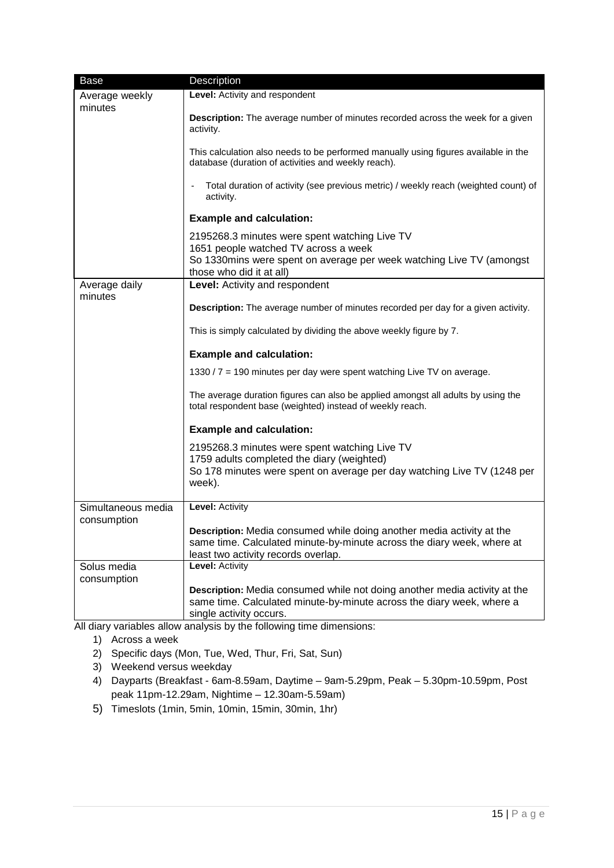| <b>Base</b>        | Description                                                                                   |
|--------------------|-----------------------------------------------------------------------------------------------|
| Average weekly     | Level: Activity and respondent                                                                |
| minutes            |                                                                                               |
|                    | Description: The average number of minutes recorded across the week for a given               |
|                    | activity.                                                                                     |
|                    |                                                                                               |
|                    | This calculation also needs to be performed manually using figures available in the           |
|                    | database (duration of activities and weekly reach).                                           |
|                    | Total duration of activity (see previous metric) / weekly reach (weighted count) of           |
|                    | activity.                                                                                     |
|                    |                                                                                               |
|                    | <b>Example and calculation:</b>                                                               |
|                    | 2195268.3 minutes were spent watching Live TV                                                 |
|                    | 1651 people watched TV across a week                                                          |
|                    | So 1330 mins were spent on average per week watching Live TV (amongst                         |
|                    | those who did it at all)                                                                      |
| Average daily      | Level: Activity and respondent                                                                |
| minutes            |                                                                                               |
|                    | <b>Description:</b> The average number of minutes recorded per day for a given activity.      |
|                    |                                                                                               |
|                    | This is simply calculated by dividing the above weekly figure by 7.                           |
|                    |                                                                                               |
|                    | <b>Example and calculation:</b>                                                               |
|                    | 1330 / 7 = 190 minutes per day were spent watching Live TV on average.                        |
|                    |                                                                                               |
|                    | The average duration figures can also be applied amongst all adults by using the              |
|                    | total respondent base (weighted) instead of weekly reach.                                     |
|                    | <b>Example and calculation:</b>                                                               |
|                    |                                                                                               |
|                    | 2195268.3 minutes were spent watching Live TV                                                 |
|                    | 1759 adults completed the diary (weighted)                                                    |
|                    | So 178 minutes were spent on average per day watching Live TV (1248 per                       |
|                    | week).                                                                                        |
| Simultaneous media | <b>Level: Activity</b>                                                                        |
| consumption        |                                                                                               |
|                    | Description: Media consumed while doing another media activity at the                         |
|                    | same time. Calculated minute-by-minute across the diary week, where at                        |
|                    | least two activity records overlap.                                                           |
| Solus media        | <b>Level: Activity</b>                                                                        |
| consumption        |                                                                                               |
|                    | Description: Media consumed while not doing another media activity at the                     |
|                    | same time. Calculated minute-by-minute across the diary week, where a                         |
|                    | single activity occurs.<br>All dignizionales allow applysis by the following time dimensions: |

All diary variables allow analysis by the following time dimensions:

- 1) Across a week
- 2) Specific days (Mon, Tue, Wed, Thur, Fri, Sat, Sun)
- 3) Weekend versus weekday
- 4) Dayparts (Breakfast 6am-8.59am, Daytime 9am-5.29pm, Peak 5.30pm-10.59pm, Post peak 11pm-12.29am, Nightime – 12.30am-5.59am)
- 5) Timeslots (1min, 5min, 10min, 15min, 30min, 1hr)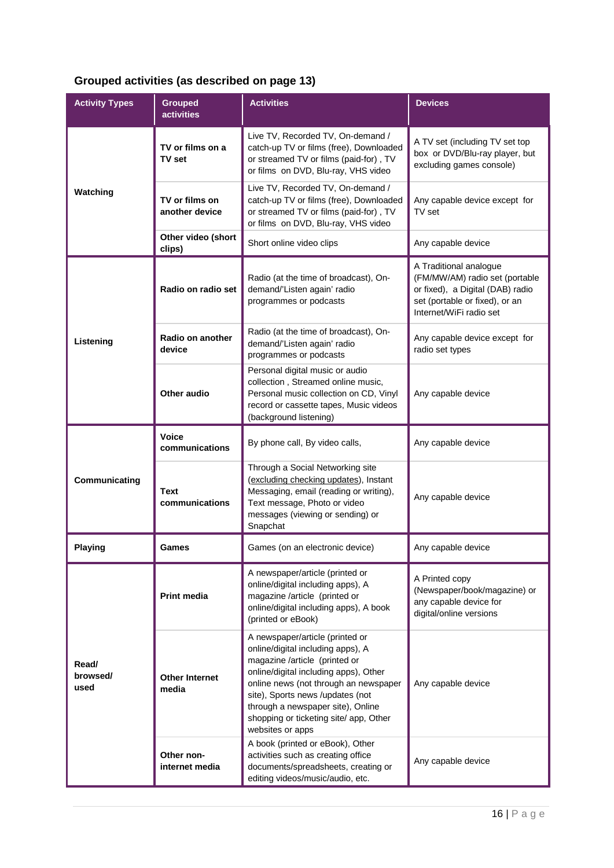# **Grouped activities (as described on page 13)**

| <b>Activity Types</b>     | <b>Grouped</b><br><b>activities</b>      | <b>Activities</b>                                                                                                                                                                                                                                                                                                              | <b>Devices</b>                                                                                                                                            |
|---------------------------|------------------------------------------|--------------------------------------------------------------------------------------------------------------------------------------------------------------------------------------------------------------------------------------------------------------------------------------------------------------------------------|-----------------------------------------------------------------------------------------------------------------------------------------------------------|
|                           | TV or films on a<br>TV set               | Live TV, Recorded TV, On-demand /<br>catch-up TV or films (free), Downloaded<br>or streamed TV or films (paid-for), TV<br>or films on DVD, Blu-ray, VHS video                                                                                                                                                                  | A TV set (including TV set top<br>box or DVD/Blu-ray player, but<br>excluding games console)                                                              |
| Watching                  | TV or films on<br>another device         | Live TV, Recorded TV, On-demand /<br>catch-up TV or films (free), Downloaded<br>or streamed TV or films (paid-for), TV<br>or films on DVD, Blu-ray, VHS video                                                                                                                                                                  | Any capable device except for<br>TV set                                                                                                                   |
|                           | Other video (short<br>clips)             | Short online video clips                                                                                                                                                                                                                                                                                                       | Any capable device                                                                                                                                        |
|                           | Radio on radio set                       | Radio (at the time of broadcast), On-<br>demand/'Listen again' radio<br>programmes or podcasts                                                                                                                                                                                                                                 | A Traditional analogue<br>(FM/MW/AM) radio set (portable<br>or fixed), a Digital (DAB) radio<br>set (portable or fixed), or an<br>Internet/WiFi radio set |
| Listening                 | Radio on another<br>device               | Radio (at the time of broadcast), On-<br>demand/'Listen again' radio<br>programmes or podcasts                                                                                                                                                                                                                                 | Any capable device except for<br>radio set types                                                                                                          |
|                           | <b>Other audio</b>                       | Personal digital music or audio<br>collection, Streamed online music,<br>Personal music collection on CD, Vinyl<br>record or cassette tapes, Music videos<br>(background listening)                                                                                                                                            | Any capable device                                                                                                                                        |
|                           | <b>Voice</b><br>communications           | By phone call, By video calls,                                                                                                                                                                                                                                                                                                 | Any capable device                                                                                                                                        |
| Communicating             | <b>Text</b><br>communications            | Through a Social Networking site<br>(excluding checking updates), Instant<br>Messaging, email (reading or writing),<br>Text message, Photo or video<br>messages (viewing or sending) or<br>Snapchat                                                                                                                            | Any capable device                                                                                                                                        |
| <b>Playing</b>            | Games<br>Games (on an electronic device) |                                                                                                                                                                                                                                                                                                                                | Any capable device                                                                                                                                        |
|                           | <b>Print media</b>                       | A newspaper/article (printed or<br>online/digital including apps), A<br>magazine /article (printed or<br>online/digital including apps), A book<br>(printed or eBook)                                                                                                                                                          | A Printed copy<br>(Newspaper/book/magazine) or<br>any capable device for<br>digital/online versions                                                       |
| Read/<br>browsed/<br>used | <b>Other Internet</b><br>media           | A newspaper/article (printed or<br>online/digital including apps), A<br>magazine /article (printed or<br>online/digital including apps), Other<br>online news (not through an newspaper<br>site), Sports news /updates (not<br>through a newspaper site), Online<br>shopping or ticketing site/ app, Other<br>websites or apps | Any capable device                                                                                                                                        |
|                           | Other non-<br>internet media             | A book (printed or eBook), Other<br>activities such as creating office<br>documents/spreadsheets, creating or<br>editing videos/music/audio, etc.                                                                                                                                                                              | Any capable device                                                                                                                                        |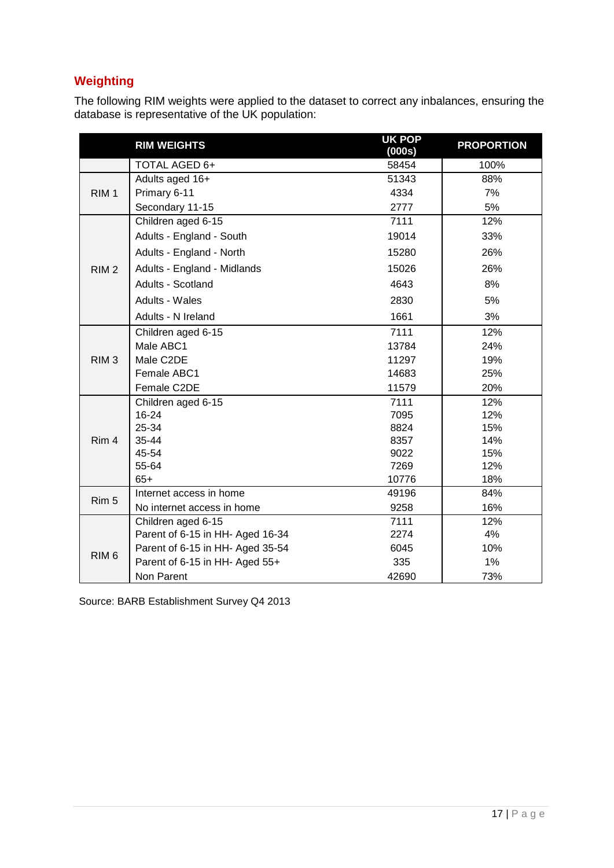# **Weighting**

The following RIM weights were applied to the dataset to correct any inbalances, ensuring the database is representative of the UK population:

|                  | <b>RIM WEIGHTS</b>               | <b>UK POP</b><br>(000s) | <b>PROPORTION</b> |
|------------------|----------------------------------|-------------------------|-------------------|
|                  | TOTAL AGED 6+                    | 58454                   | 100%              |
| RIM <sub>1</sub> | Adults aged 16+                  | 51343                   | 88%               |
|                  | Primary 6-11                     | 4334                    | 7%                |
|                  | Secondary 11-15                  | 2777                    | 5%                |
| RIM <sub>2</sub> | Children aged 6-15               | 7111                    | 12%               |
|                  | Adults - England - South         | 19014                   | 33%               |
|                  | Adults - England - North         | 15280                   | 26%               |
|                  | Adults - England - Midlands      | 15026                   | 26%               |
|                  | Adults - Scotland                | 4643                    | 8%                |
|                  | Adults - Wales                   | 2830                    | 5%                |
|                  | Adults - N Ireland               | 1661                    | 3%                |
| RIM <sub>3</sub> | Children aged 6-15               | 7111                    | 12%               |
|                  | Male ABC1                        | 13784                   | 24%               |
|                  | Male C2DE                        | 11297                   | 19%               |
|                  | Female ABC1                      | 14683                   | 25%               |
|                  | Female C2DE                      | 11579                   | 20%               |
|                  | Children aged 6-15               | 7111                    | 12%               |
| Rim 4            | 16-24                            | 7095                    | 12%               |
|                  | 25-34                            | 8824                    | 15%               |
|                  | 35-44                            | 8357                    | 14%               |
|                  | 45-54                            | 9022                    | 15%               |
|                  | 55-64                            | 7269                    | 12%               |
|                  | $65+$                            | 10776                   | 18%               |
| Rim 5            | Internet access in home          | 49196                   | 84%               |
|                  | No internet access in home       | 9258                    | 16%               |
| RIM <sub>6</sub> | Children aged 6-15               | 7111                    | 12%               |
|                  | Parent of 6-15 in HH- Aged 16-34 | 2274                    | 4%                |
|                  | Parent of 6-15 in HH- Aged 35-54 | 6045                    | 10%               |
|                  | Parent of 6-15 in HH- Aged 55+   | 335                     | 1%                |
|                  | Non Parent                       | 42690                   | 73%               |

Source: BARB Establishment Survey Q4 2013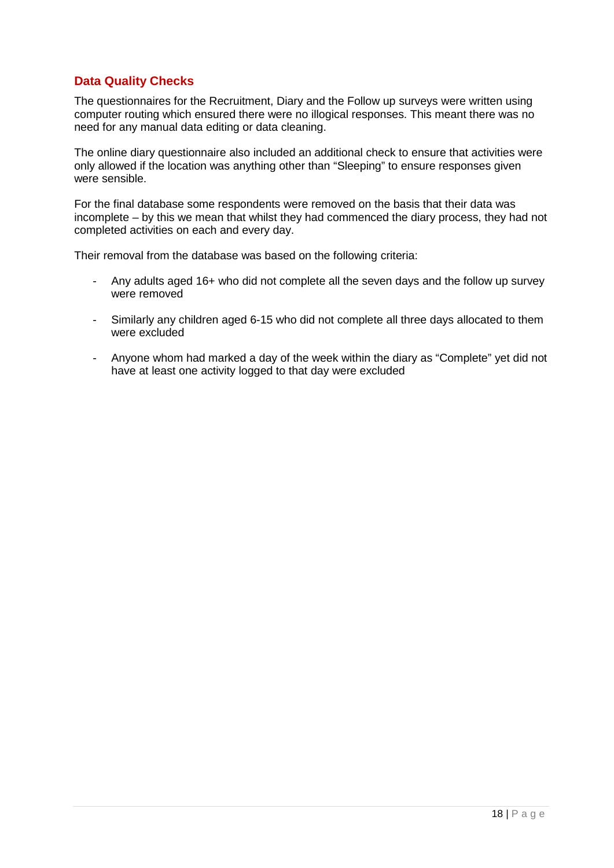## **Data Quality Checks**

The questionnaires for the Recruitment, Diary and the Follow up surveys were written using computer routing which ensured there were no illogical responses. This meant there was no need for any manual data editing or data cleaning.

The online diary questionnaire also included an additional check to ensure that activities were only allowed if the location was anything other than "Sleeping" to ensure responses given were sensible.

For the final database some respondents were removed on the basis that their data was incomplete – by this we mean that whilst they had commenced the diary process, they had not completed activities on each and every day.

Their removal from the database was based on the following criteria:

- Any adults aged 16+ who did not complete all the seven days and the follow up survey were removed
- Similarly any children aged 6-15 who did not complete all three days allocated to them were excluded
- Anyone whom had marked a day of the week within the diary as "Complete" yet did not have at least one activity logged to that day were excluded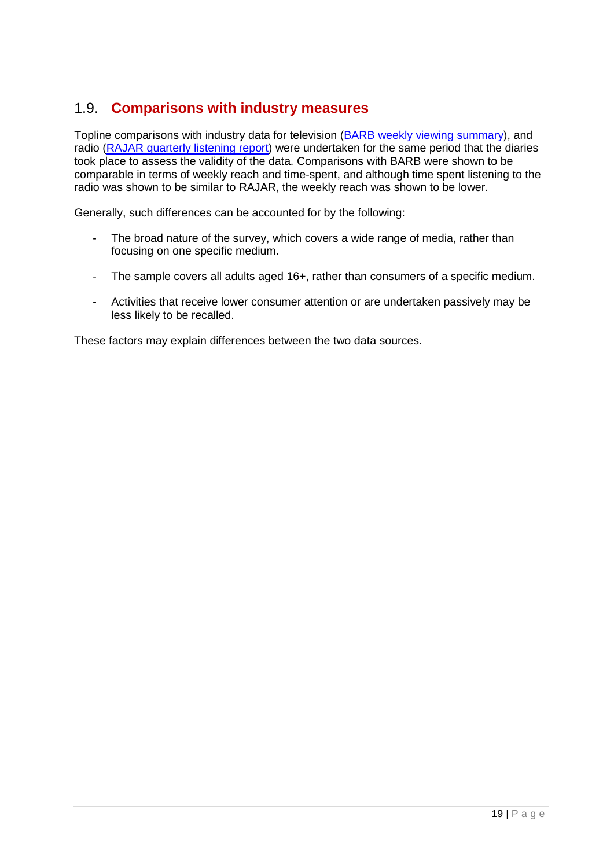# 1.9. **Comparisons with industry measures**

Topline comparisons with industry data for television [\(BARB weekly viewing summary\)](http://www.barb.co.uk/whats-new/weekly-viewing-summary?_s=4), and radio [\(RAJAR quarterly listening report\)](http://www.rajar.co.uk/listening/quarterly_listening.php) were undertaken for the same period that the diaries took place to assess the validity of the data. Comparisons with BARB were shown to be comparable in terms of weekly reach and time-spent, and although time spent listening to the radio was shown to be similar to RAJAR, the weekly reach was shown to be lower.

Generally, such differences can be accounted for by the following:

- The broad nature of the survey, which covers a wide range of media, rather than focusing on one specific medium.
- The sample covers all adults aged 16+, rather than consumers of a specific medium.
- Activities that receive lower consumer attention or are undertaken passively may be less likely to be recalled.

These factors may explain differences between the two data sources.